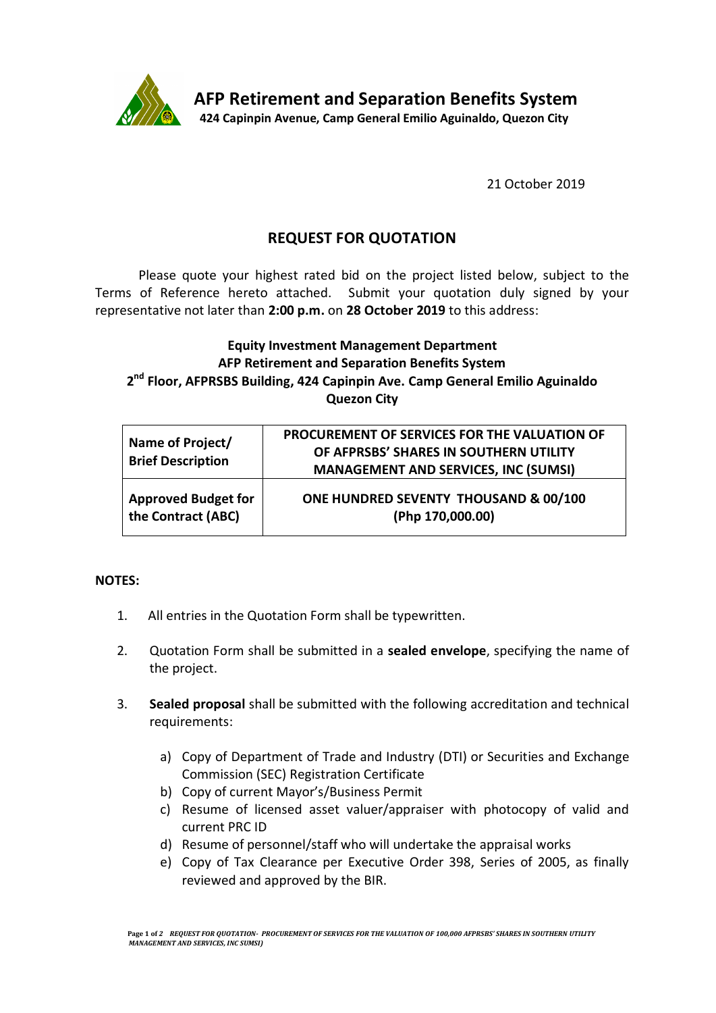

21 October 2019

## **REQUEST FOR QUOTATION**

Please quote your highest rated bid on the project listed below, subject to the Terms of Reference hereto attached. Submit your quotation duly signed by your representative not later than **2:00 p.m.** on **28 October 2019** to this address:

## **Equity Investment Management Department AFP Retirement and Separation Benefits System 2 nd Floor, AFPRSBS Building, 424 Capinpin Ave. Camp General Emilio Aguinaldo Quezon City**

| Name of Project/<br><b>Brief Description</b> | PROCUREMENT OF SERVICES FOR THE VALUATION OF<br>OF AFPRSBS' SHARES IN SOUTHERN UTILITY<br><b>MANAGEMENT AND SERVICES, INC (SUMSI)</b> |
|----------------------------------------------|---------------------------------------------------------------------------------------------------------------------------------------|
| <b>Approved Budget for</b>                   | ONE HUNDRED SEVENTY THOUSAND & 00/100                                                                                                 |
| the Contract (ABC)                           | (Php 170,000.00)                                                                                                                      |

## **NOTES:**

- 1. All entries in the Quotation Form shall be typewritten.
- 2. Quotation Form shall be submitted in a **sealed envelope**, specifying the name of the project.
- 3. **Sealed proposal** shall be submitted with the following accreditation and technical requirements:
	- a) Copy of Department of Trade and Industry (DTI) or Securities and Exchange Commission (SEC) Registration Certificate
	- b) Copy of current Mayor's/Business Permit
	- c) Resume of licensed asset valuer/appraiser with photocopy of valid and current PRC ID
	- d) Resume of personnel/staff who will undertake the appraisal works
	- e) Copy of Tax Clearance per Executive Order 398, Series of 2005, as finally reviewed and approved by the BIR.